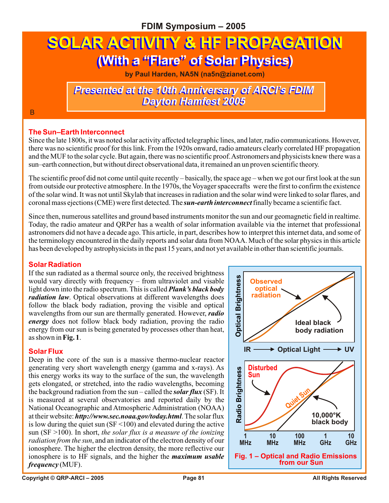# **SOLAR ACTIVITY & HF PROPAGATION (With a "Flare" of Solar Physics)**

**by Paul Harden, NA5N (na5n@zianet.com)**

*Presented at the 10th Anniversary of ARCI's FDIM Dayton Hamfest 2005*

## **The Sun–Earth Interconnect**

Since the late 1800s, it was noted solar activity affected telegraphic lines, and later, radio communications. However, there was no scientific proof for this link. From the 1920s onward, radio amateurs clearly correlated HF propagation and the MUF to the solar cycle. But again, there was no scientific proof. Astronomers and physicists knew there was a sun–earth connection, but without direct observational data, it remained an un proven scientific theory.

The scientific proof did not come until quite recently – basically, the space age – when we got our first look at the sun from outside our protective atmosphere. In the 1970s, the Voyager spacecrafts were the first to confirm the existence of the solar wind. It was not until Skylab that increases in radiation and the solar wind were linked to solar flares, and coronal mass ejections (CME) were first detected. The *sun-earth interconnect* finally became a scientific fact.

Since then, numerous satellites and ground based instruments monitor the sun and our geomagnetic field in realtime. Today, the radio amateur and QRPer has a wealth of solar information available via the internet that professional astronomers did not have a decade ago. This article, in part, describes how to interpret this internet data, and some of the terminology encountered in the daily reports and solar data from NOAA. Much of the solar physics in this article has been developed by astrophysicists in the past 15 years, and not yet available in other than scientific journals.

#### **Solar Radiation**

If the sun radiated as a thermal source only, the received brightness would vary directly with frequency – from ultraviolet and visable light down into the radio spectrum. This is called *Plank's black body radiation law*. Optical observations at different wavelengths does follow the black body radiation, proving the visible and optical wavelengths from our sun are thermally generated. However, *radio energy* does not follow black body radiation, proving the radio energy from our sun is being generated by processes other than heat, as shown in **Fig. 1**.

#### **Solar Flux**

Deep in the core of the sun is a massive thermo-nuclear reactor generating very short wavelength energy (gamma and x-rays). As this energy works its way to the surface of the sun, the wavelength gets elongated, or stretched, into the radio wavelengths, becoming the background radiation from the sun – called the *solar flux* (SF). It is measured at several observatories and reported daily by the National Oceanographic and Atmospheric Administration (NOAA) at their website: *http://www.sec.noaa.gov/today.html*. The solar flux is low during the quiet sun  $(SF \le 100)$  and elevated during the active sun (SF >100). In short, *the solar flux is a measure of the ionizing radiation from the sun*, and an indicator of the electron density of our ionosphere. The higher the electron density, the more reflective our ionosphere is to HF signals, and the higher the *maximum usable frequency* (MUF).

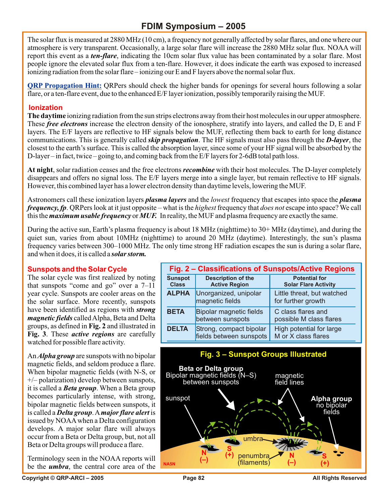The solar flux is measured at 2880 MHz (10 cm), a frequency not generally affected by solar flares, and one where our atmosphere is very transparent. Occasionally, a large solar flare will increase the 2880 MHz solar flux. NOAA will report this event as a *ten-flare*, indicating the 10cm solar flux value has been contaminated by a solar flare. Most people ignore the elevated solar flux from a ten-flare. However, it does indicate the earth was exposed to increased ionizing radiation from the solar flare – ionizing our E and F layers above the normal solar flux.

**QRP Propagation Hint:** QRPers should check the higher bands for openings for several hours following a solar flare, or a ten-flare event, due to the enhanced E/F layer ionization, possibly temporarily raising the MUF.

#### **Ionization**

**The daytime** ionizing radiation from the sun strips electrons away from their host molecules in our upper atmosphere. These *free electrons* increase the electron density of the ionosphere, stratify into layers, and called the D, E and F layers. The E/F layers are reflective to HF signals below the MUF, reflecting them back to earth for long distance communications. This is generally called *skip propagation*. The HF signals must also pass through the *D-layer*, the closest to the earth's surface. This is called the absorption layer, since some of your HF signal will be absorbed by the D-layer – in fact, twice – going to, and coming back from the E/F layers for 2-6dB total path loss.

**At night**, solar radiation ceases and the free electrons *recombine* with their host molecules. The D-layer completely disappears and offers no signal loss. The E/F layers merge into a single layer, but remain reflective to HF signals. However, this combined layer has a lower electron density than daytime levels, lowering the MUF.

Astronomers call these ionization layers *plasma layers* and the *lowest* frequency that escapes into space the *plasma frequency, fp*. QRPers look at it just opposite – what is the *highest* frequency that *does not* escape into space? We call this the *maximum usable frequency* or *MUF.* In reality, the MUF and plasma frequency are exactly the same.

During the active sun, Earth's plasma frequency is about 18 MHz (nighttime) to 30+ MHz (daytime), and during the quiet sun, varies from about 10MHz (nighttime) to around 20 MHz (daytime). Interestingly, the sun's plasma frequency varies between 300–1000 MHz. The only time strong HF radiation escapes the sun is during a solar flare, and when it does, it is called a *solar storm.*

#### **Sunspots and the Solar Cycle**

The solar cycle was first realized by noting that sunspots "come and go" over a 7–11 year cycle. Sunspots are cooler areas on the the solar surface. More recently, sunspots have been identified as regions with *strong magnetic fields* called Alpha, Beta and Delta groups, as defined in **Fig. 2** and illustrated in **Fig. 3**. These *active regions* are carefully watched for possible flare activity.

An *Alpha group* are sunspots with no bipolar magnetic fields, and seldom produce a flare. When bipolar magnetic fields (with N-S, or +/– polarization) develop between sunspots, it is called a *Beta group*. When a Beta group becomes particularly intense, with strong, bipolar magnetic fields between sunspots, it is called a *Delta group*. A*major flare alert* is issued by NOAA when a Delta configuration develops. A major solar flare will always occur from a Beta or Delta group, but, not all Beta or Delta groups will produce a flare.

Terminology seen in the NOAA reports will be the *umbra*, the central core area of the

| Fig. 2 – Classifications of Sunspots/Active Regions |                                                                                                     |                                                     |  |  |  |  |
|-----------------------------------------------------|-----------------------------------------------------------------------------------------------------|-----------------------------------------------------|--|--|--|--|
| <b>Sunspot</b><br><b>Class</b>                      | <b>Description of the</b><br><b>Active Region</b>                                                   | <b>Potential for</b><br><b>Solar Flare Activity</b> |  |  |  |  |
| <b>ALPHA</b>                                        | Unorganized, unipolar<br>magnetic fields                                                            | Little threat, but watched<br>for further growth    |  |  |  |  |
| <b>BETA</b>                                         | <b>Bipolar magnetic fields</b><br>C class flares and<br>between sunspots<br>possible M class flares |                                                     |  |  |  |  |
| <b>DELTA</b>                                        | Strong, compact bipolar<br>fields between sunspots                                                  | High potential for large<br>M or X class flares     |  |  |  |  |

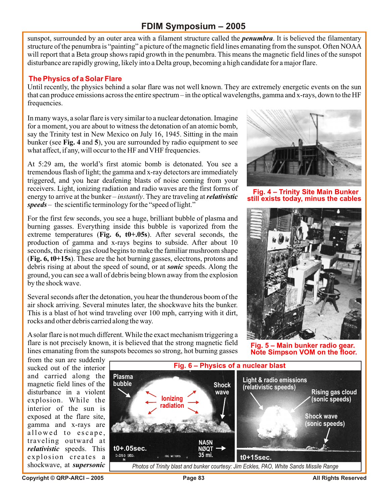sunspot, surrounded by an outer area with a filament structure called the *penumbra*. It is believed the filamentary structure of the penumbra is "painting" a picture of the magnetic field lines emanating from the sunspot. Often NOAA will report that a Beta group shows rapid growth in the penumbra. This means the magnetic field lines of the sunspot disturbance are rapidly growing, likely into a Delta group, becoming a high candidate for a major flare.

#### **The Physics of a Solar Flare**

Until recently, the physics behind a solar flare was not well known. They are extremely energetic events on the sun that can produce emissions across the entire spectrum – in the optical wavelengths, gamma and x-rays, down to the HF frequencies.

In many ways, a solar flare is very similar to a nuclear detonation. Imagine for a moment, you are about to witness the detonation of an atomic bomb, say the Trinity test in New Mexico on July 16, 1945. Sitting in the main bunker (see **Fig. 4** and **5**), you are surrounded by radio equipment to see what affect, if any, will occur to the HF and VHF frequencies.

At 5:29 am, the world's first atomic bomb is detonated. You see a tremendous flash of light; the gamma and x-ray detectors are immediately triggered, and you hear deafening blasts of noise coming from your receivers. Light, ionizing radiation and radio waves are the first forms of energy to arrive at the bunker – *instantly*. They are traveling at *relativistic speeds* – the scientific terminology for the "speed of light."

For the first few seconds, you see a huge, brilliant bubble of plasma and burning gasses. Everything inside this bubble is vaporized from the extreme temperatures (**Fig. 6, t0+.05s**). After several seconds, the production of gamma and x-rays begins to subside. After about 10 seconds, the rising gas cloud begins to make the familiar mushroom shape (**Fig. 6, t0+15s**). These are the hot burning gasses, electrons, protons and debris rising at about the speed of sound, or at *sonic* speeds. Along the ground, you can see a wall of debris being blown away from the explosion by the shock wave.

Several seconds after the detonation, you hear the thunderous boom of the air shock arriving. Several minutes later, the shockwave hits the bunker. This is a blast of hot wind traveling over 100 mph, carrying with it dirt, rocks and other debris carried along the way.

A solar flare is not much different. While the exact mechanism triggering a flare is not precisely known, it is believed that the strong magnetic field lines emanating from the sunspots becomes so strong, hot burning gasses



 **Fig. 4 – Trinity Site Main Bunker still exists today, minus the cables**



**Fig. 5 – Main bunker radio gear. Note Simpson VOM on the floor.**

from the sun are suddenly sucked out of the interior and carried along the magnetic field lines of the disturbance in a violent explosion. While the interior of the sun is exposed at the flare site, gamma and x-rays are allowed to escape, traveling outward at *relativistic* speeds. This explosion creates a shockwave, at *supersonic* 

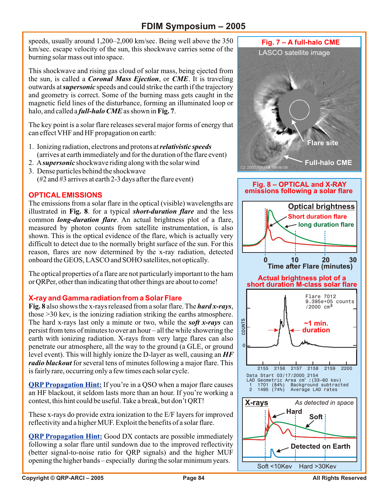speeds, usually around 1,200–2,000 km/sec. Being well above the 350 km/sec. escape velocity of the sun, this shockwave carries some of the burning solar mass out into space.

This shockwave and rising gas cloud of solar mass, being ejected from the sun, is called a *Coronal Mass Ejection*, or *CME*. It is traveling outwards at *supersonic* speeds and could strike the earth if the trajectory and geometry is correct. Some of the burning mass gets caught in the magnetic field lines of the disturbance, forming an illuminated loop or halo, and called a *full-halo CME* as shown in **Fig. 7**.

The key point is a solar flare releases several major forms of energy that can effect VHF and HF propagation on earth:

- 1. Ionizing radiation, electrons and protons at *relativistic speeds* (arrives at earth immediately and for the duration of the flare event)
- 2. A*supersonic* shockwave riding along with the solar wind
- 3. Dense particles behind the shockwave (#2 and #3 arrives at earth 2-3 days after the flare event)

#### **OPTICAL EMISSIONS**

The emissions from a solar flare in the optical (visible) wavelengths are illustrated in **Fig. 8**. for a typical *short-duration flare* and the less common *long-duration flare*. An actual brightness plot of a flare, measured by photon counts from satellite instrumentation, is also shown. This is the optical evidence of the flare, which is actually very difficult to detect due to the normally bright surface of the sun. For this reason, flares are now determined by the x-ray radiation, detected onboard the GEOS, LASCO and SOHO satellites, not optically.

The optical properties of a flare are not particularly important to the ham or QRPer, other than indicating that other things are about to come!

#### **X-ray and Gamma radiation from a Solar Flare**

**Fig. 8** also shows the x-rays released from a solar flare. The *hard x-rays*, those >30 kev, is the ionizing radiation striking the earths atmosphere. The hard x-rays last only a minute or two, while the *soft x-rays* can persist from tens of minutes to over an hour – all the while showering the earth with ionizing radiation. X-rays from very large flares can also penetrate our atmosphere, all the way to the ground (a GLE, or ground level event). This will highly ionize the D-layer as well, causing an *HF radio blackout* for several tens of minutes following a major flare. This is fairly rare, occurring only a few times each solar cycle.

**QRP Propagation Hint:** If you're in a QSO when a major flare causes an HF blackout, it seldom lasts more than an hour. If you're working a contest, this hint could be useful. Take a break, but don't QRT!

These x-rays do provide extra ionization to the E/F layers for improved reflectivity and a higher MUF. Exploit the benefits of a solar flare.

**QRP Propagation Hint:** Good DX contacts are possible immediately following a solar flare until sundown due to the improved reflectivity (better signal-to-noise ratio for QRP signals) and the higher MUF opening the higher bands – especially during the solar minimum years.





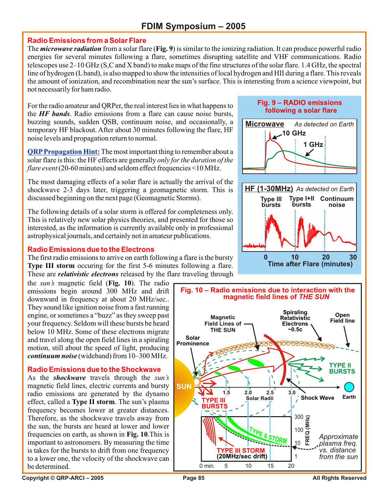#### **Radio Emissions from a Solar Flare**

The *microwave radiation* from a solar flare (**Fig. 9**) is similar to the ionizing radiation. It can produce powerful radio energies for several minutes following a flare, sometimes disrupting satellite and VHF communications. Radio telescopes use 2–10 GHz (S,C and X band) to make maps of the fine structures of the solar flare. 1.4 GHz, the spectral line of hydrogen (L band), is also mapped to show the intensities of local hydrogen and HII during a flare. This reveals the amount of ionization, and recombination near the sun's surface. This is interesting from a science viewpoint, but not necessarily for ham radio.

For the radio amateur and QRPer, the real interest lies in what happens to the *HF bands*. Radio emissions from a flare can cause noise bursts, buzzing sounds, sudden QSB, continuum noise, and occasionally, a temporary HF blackout. After about 30 minutes following the flare, HF noise levels and propagation return to normal.

**QRP Propagation Hint:** The most important thing to remember about a solar flare is this: the HF effects are generally *only for the duration of the flare event* (20-60 minutes) and seldom effect frequencies <10 MHz.

The most damaging effects of a solar flare is actually the arrival of the shockwave 2-3 days later, triggering a geomagnetic storm. This is discussed beginning on the next page (Geomagnetic Storms).

The following details of a solar storm is offered for completeness only. This is relatively new solar physics theories, and presented for those so interested, as the information is currently available only in professional astrophysical journals, and certainly not in amateur publications.

#### **Radio Emissions due to the Electrons**

The first radio emissions to arrive on earth following a flare is the bursty **Type III storm** occuring for the first 5-6 minutes following a flare. These are *relativistic electrons* released by the flare traveling through

the *sun's* magnetic field (**Fig. 10**). The radio emissions begin around 300 MHz and drift downward in frequency at about 20 MHz/sec.. They sound like ignition noise from a fast running engine, or sometimes a "buzz" as they sweep past your frequency. Seldom will these bursts be heard below 10 MHz. Some of these electrons migrate and travel along the open field lines in a spiraling motion, still about the speed of light, producing *continuum noise* (wideband) from 10–300 MHz.

#### **Radio Emissions due to the Shockwave**

As the *shockwave* travels through the *sun's* magnetic field lines, electric currents and bursty radio emissions are generated by the dynamo effect, called a **Type II storm**. The sun's plasma frequency becomes lower at greater distances. Therefore, as the shockwave travels away from the sun, the bursts are heard at lower and lower frequencies on earth, as shown in **Fig. 10**.This is important to astronomers. By measuring the time is takes for the bursts to drift from one frequency to a lower one, the velocity of the shockwave can be determined.





**Fig. 9 – RADIO emissions following a solar flare**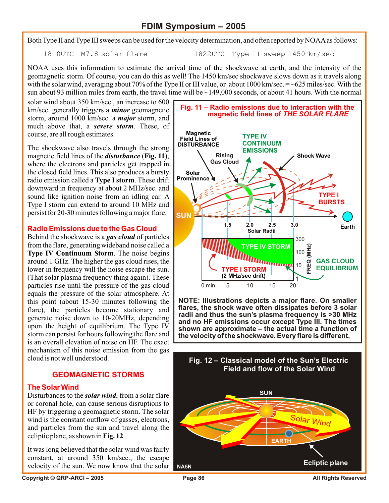Both Type II and Type III sweeps can be used for the velocity determination, and often reported by NOAA as follows:

1810UTC M7.8 solar flare 1822UTC Type II sweep 1450 km/sec

NOAA uses this information to estimate the arrival time of the shockwave at earth, and the intensity of the geomagnetic storm. Of course, you can do this as well! The 1450 km/sec shockwave slows down as it travels along with the solar wind, averaging about 70% of the Type II or III value, or about  $1000 \text{ km/sec} = -625 \text{ miles/sec}$ . With the sun about 93 million miles from earth, the travel time will be  $\sim$ 149,000 seconds, or about 41 hours. With the normal

solar wind about 350 km/sec., an increase to 600 km/sec. generally triggers a *minor* geomagnetic storm, around 1000 km/sec. a *major* storm, and much above that, a *severe storm*. These, of course, are all rough estimates.

The shockwave also travels through the strong magnetic field lines of the *disturbance* (**Fig. 11**), where the electrons and particles get trapped in the closed field lines. This also produces a bursty radio emission called a **Type I storm**. These drift downward in frequency at about 2 MHz/sec. and sound like ignition noise from an idling car. A Type I storm can extend to around 10 MHz and persist for 20-30 minutes following a major flare.

## **Radio Emissions due to the Gas Cloud**

Behind the shockwave is a *gas cloud* of particles from the flare, generating wideband noise called a **Type IV Continuum Storm**. The noise begins around 1 GHz. The higher the gas cloud rises, the lower in frequency will the noise escape the sun. (That solar plasma frequency thing again). These particles rise until the pressure of the gas cloud equals the pressure of the solar atmosphere. At this point (about 15-30 minutes following the flare), the particles become stationary and generate noise down to 10-20MHz, depending upon the height of equilibrium. The Type IV storm can persist for hours following the flare and is an overall elevation of noise on HF. The exact mechanism of this noise emission from the gas cloud is not well understood.

## **GEOMAGNETIC STORMS**

## **The Solar Wind**

Disturbances to the *solar wind*, from a solar flare or coronal hole, can cause serious disruptions to HF by triggering a geomagnetic storm. The solar wind is the constant outflow of gasses, electrons, and particles from the sun and travel along the ecliptic plane, as shown in **Fig. 12**.

It was long believed that the solar wind was fairly constant, at around 350 km/sec., the escape velocity of the sun. We now know that the solar



**NOTE: Illustrations depicts a major flare. On smaller flares, the shock wave often dissipates before 3 solar radii and thus the sun's plasma frequency is >30 MHz and no HF emissions occur except Type III. The times shown are approximate – the actual time a function of the velocity of the shockwave. Every flare is different.**

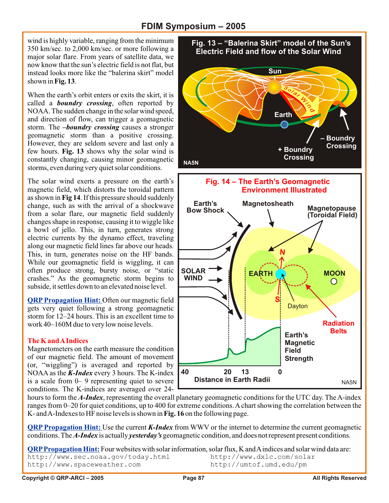wind is highly variable, ranging from the minimum 350 km/sec. to 2,000 km/sec. or more following a major solar flare. From years of satellite data, we now know that the sun's electric field is not flat, but instead looks more like the "balerina skirt" model shown in **Fig. 13**.

When the earth's orbit enters or exits the skirt, it is called a *boundry crossing*, often reported by NOAA.The sudden change in the solar wind speed, and direction of flow, can trigger a geomagnetic storm. The *–boundry crossing* causes a stronger geomagnetic storm than a positive crossing. However, they are seldom severe and last only a few hours. **Fig. 13** shows why the solar wind is constantly changing, causing minor geomagnetic storms, even during very quiet solar conditions.

The solar wind exerts a pressure on the earth's magnetic field, which distorts the toroidal pattern as shown in **Fig 14**. If this pressure should suddenly change, such as with the arrival of a shockwave from a solar flare, our magnetic field suddenly changes shape in response, causing it to wiggle like a bowl of jello. This, in turn, generates strong electric currents by the dynamo effect, traveling along our magnetic field lines far above our heads. This, in turn, generates noise on the HF bands. While our geomagnetic field is wiggling, it can often produce strong, bursty noise, or "static crashes." As the geomagnetic storm begins to subside, it settles down to an elevated noise level.

**QRP Propagation Hint:** Often our magnetic field gets very quiet following a strong geomagnetic storm for 12–24 hours. This is an excellent time to work 40–160M due to very low noise levels.

#### **The K and A Indices**

Magnetometers on the earth measure the condition of our magnetic field. The amount of movement (or, "wiggling") is averaged and reported by NOAA as the *K-Index* every 3 hours. The K-index is a scale from 0– 9 representing quiet to severe conditions. The K-indices are averaged over 24-



hours to form the *A-Index*, representing the overall planetary geomagnetic conditions for the UTC day. The A-index ranges from 0–20 for quiet conditions, up to 400 for extreme conditions. A chart showing the correlation between the K- and A-Indexes to HF noise levels is shown in **Fig. 16** on the following page.

**QRP Propagation Hint:** Use the current *K-Index* from WWV or the internet to determine the current geomagnetic conditions. The *A-Index* is actually *yesterday's* geomagnetic condition, and does not represent present conditions.

**QRP Propagation Hint:** Four websites with solar information, solar flux, K and A indices and solar wind data are: http://www.sec.noaa.gov/today.html http://www.dxlc.com/solar http://www.spaceweather.com http://umtof.umd.edu/pm